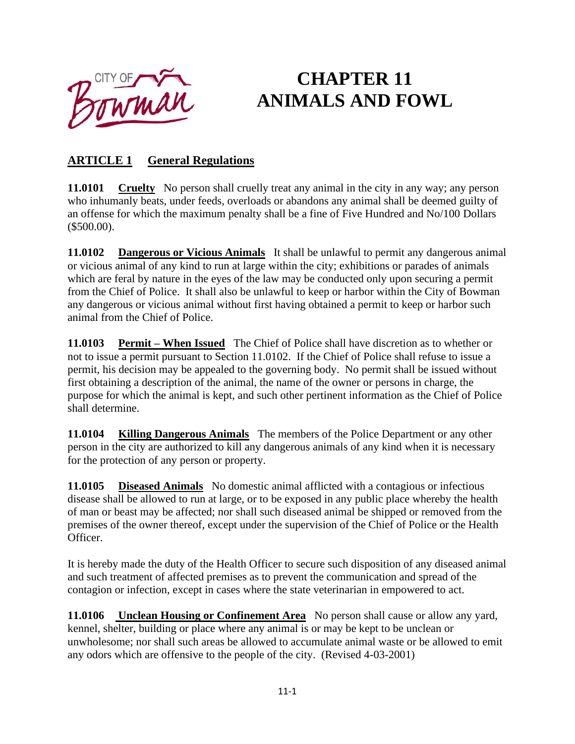

## **CHAPTER 11 ANIMALS AND FOWL**

## **ARTICLE 1 General Regulations**

**11.0101 Cruelty** No person shall cruelly treat any animal in the city in any way; any person who inhumanly beats, under feeds, overloads or abandons any animal shall be deemed guilty of an offense for which the maximum penalty shall be a fine of Five Hundred and No/100 Dollars (\$500.00).

**11.0102 Dangerous or Vicious Animals** It shall be unlawful to permit any dangerous animal or vicious animal of any kind to run at large within the city; exhibitions or parades of animals which are feral by nature in the eyes of the law may be conducted only upon securing a permit from the Chief of Police. It shall also be unlawful to keep or harbor within the City of Bowman any dangerous or vicious animal without first having obtained a permit to keep or harbor such animal from the Chief of Police.

**11.0103 Permit – When Issued** The Chief of Police shall have discretion as to whether or not to issue a permit pursuant to Section 11.0102. If the Chief of Police shall refuse to issue a permit, his decision may be appealed to the governing body. No permit shall be issued without first obtaining a description of the animal, the name of the owner or persons in charge, the purpose for which the animal is kept, and such other pertinent information as the Chief of Police shall determine.

**11.0104 Killing Dangerous Animals** The members of the Police Department or any other person in the city are authorized to kill any dangerous animals of any kind when it is necessary for the protection of any person or property.

**11.0105 Diseased Animals** No domestic animal afflicted with a contagious or infectious disease shall be allowed to run at large, or to be exposed in any public place whereby the health of man or beast may be affected; nor shall such diseased animal be shipped or removed from the premises of the owner thereof, except under the supervision of the Chief of Police or the Health Officer.

It is hereby made the duty of the Health Officer to secure such disposition of any diseased animal and such treatment of affected premises as to prevent the communication and spread of the contagion or infection, except in cases where the state veterinarian in empowered to act.

**11.0106 Unclean Housing or Confinement Area** No person shall cause or allow any yard, kennel, shelter, building or place where any animal is or may be kept to be unclean or unwholesome; nor shall such areas be allowed to accumulate animal waste or be allowed to emit any odors which are offensive to the people of the city. (Revised 4-03-2001)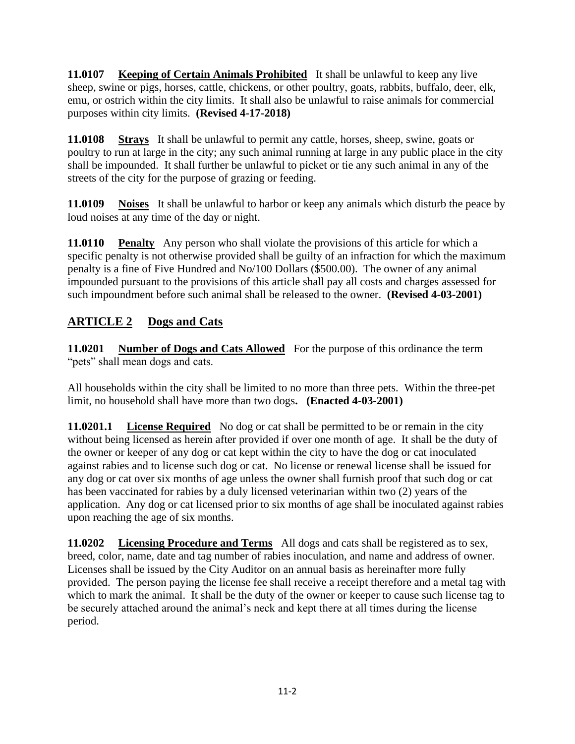**11.0107 Keeping of Certain Animals Prohibited** It shall be unlawful to keep any live sheep, swine or pigs, horses, cattle, chickens, or other poultry, goats, rabbits, buffalo, deer, elk, emu, or ostrich within the city limits. It shall also be unlawful to raise animals for commercial purposes within city limits. **(Revised 4-17-2018)**

**11.0108 Strays** It shall be unlawful to permit any cattle, horses, sheep, swine, goats or poultry to run at large in the city; any such animal running at large in any public place in the city shall be impounded. It shall further be unlawful to picket or tie any such animal in any of the streets of the city for the purpose of grazing or feeding.

**11.0109 Noises** It shall be unlawful to harbor or keep any animals which disturb the peace by loud noises at any time of the day or night.

**11.0110** Penalty Any person who shall violate the provisions of this article for which a specific penalty is not otherwise provided shall be guilty of an infraction for which the maximum penalty is a fine of Five Hundred and No/100 Dollars (\$500.00). The owner of any animal impounded pursuant to the provisions of this article shall pay all costs and charges assessed for such impoundment before such animal shall be released to the owner. **(Revised 4-03-2001)**

## **ARTICLE 2 Dogs and Cats**

**11.0201 Number of Dogs and Cats Allowed** For the purpose of this ordinance the term "pets" shall mean dogs and cats.

All households within the city shall be limited to no more than three pets. Within the three-pet limit, no household shall have more than two dogs**. (Enacted 4-03-2001)**

**11.0201.1** License Required No dog or cat shall be permitted to be or remain in the city without being licensed as herein after provided if over one month of age. It shall be the duty of the owner or keeper of any dog or cat kept within the city to have the dog or cat inoculated against rabies and to license such dog or cat. No license or renewal license shall be issued for any dog or cat over six months of age unless the owner shall furnish proof that such dog or cat has been vaccinated for rabies by a duly licensed veterinarian within two (2) years of the application. Any dog or cat licensed prior to six months of age shall be inoculated against rabies upon reaching the age of six months.

**11.0202 Licensing Procedure and Terms** All dogs and cats shall be registered as to sex, breed, color, name, date and tag number of rabies inoculation, and name and address of owner. Licenses shall be issued by the City Auditor on an annual basis as hereinafter more fully provided. The person paying the license fee shall receive a receipt therefore and a metal tag with which to mark the animal. It shall be the duty of the owner or keeper to cause such license tag to be securely attached around the animal's neck and kept there at all times during the license period.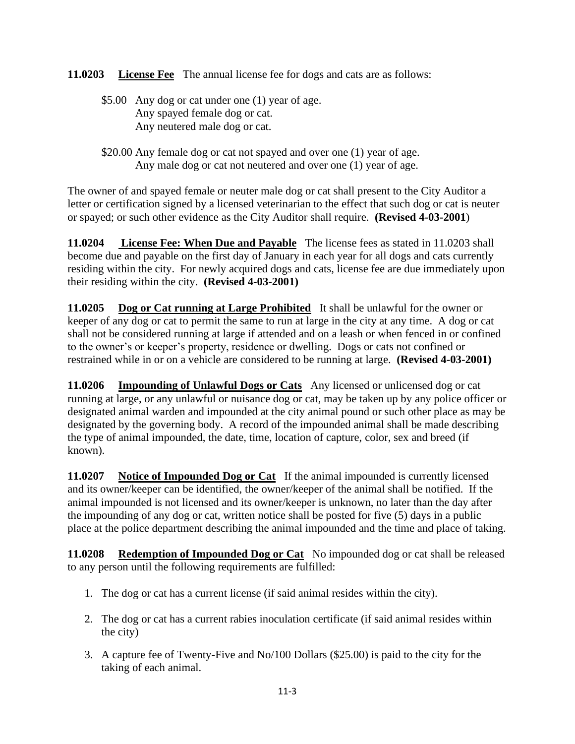**11.0203 License Fee** The annual license fee for dogs and cats are as follows:

- \$5.00 Any dog or cat under one (1) year of age. Any spayed female dog or cat. Any neutered male dog or cat.
- \$20.00 Any female dog or cat not spayed and over one (1) year of age. Any male dog or cat not neutered and over one (1) year of age.

The owner of and spayed female or neuter male dog or cat shall present to the City Auditor a letter or certification signed by a licensed veterinarian to the effect that such dog or cat is neuter or spayed; or such other evidence as the City Auditor shall require. **(Revised 4-03-2001**)

**11.0204 License Fee: When Due and Payable** The license fees as stated in 11.0203 shall become due and payable on the first day of January in each year for all dogs and cats currently residing within the city. For newly acquired dogs and cats, license fee are due immediately upon their residing within the city. **(Revised 4-03-2001)**

**11.0205 Dog or Cat running at Large Prohibited** It shall be unlawful for the owner or keeper of any dog or cat to permit the same to run at large in the city at any time. A dog or cat shall not be considered running at large if attended and on a leash or when fenced in or confined to the owner's or keeper's property, residence or dwelling. Dogs or cats not confined or restrained while in or on a vehicle are considered to be running at large. **(Revised 4-03-2001)**

**11.0206 Impounding of Unlawful Dogs or Cats** Any licensed or unlicensed dog or cat running at large, or any unlawful or nuisance dog or cat, may be taken up by any police officer or designated animal warden and impounded at the city animal pound or such other place as may be designated by the governing body. A record of the impounded animal shall be made describing the type of animal impounded, the date, time, location of capture, color, sex and breed (if known).

**11.0207 Notice of Impounded Dog or Cat** If the animal impounded is currently licensed and its owner/keeper can be identified, the owner/keeper of the animal shall be notified. If the animal impounded is not licensed and its owner/keeper is unknown, no later than the day after the impounding of any dog or cat, written notice shall be posted for five (5) days in a public place at the police department describing the animal impounded and the time and place of taking.

**11.0208 Redemption of Impounded Dog or Cat** No impounded dog or cat shall be released to any person until the following requirements are fulfilled:

- 1. The dog or cat has a current license (if said animal resides within the city).
- 2. The dog or cat has a current rabies inoculation certificate (if said animal resides within the city)
- 3. A capture fee of Twenty-Five and No/100 Dollars (\$25.00) is paid to the city for the taking of each animal.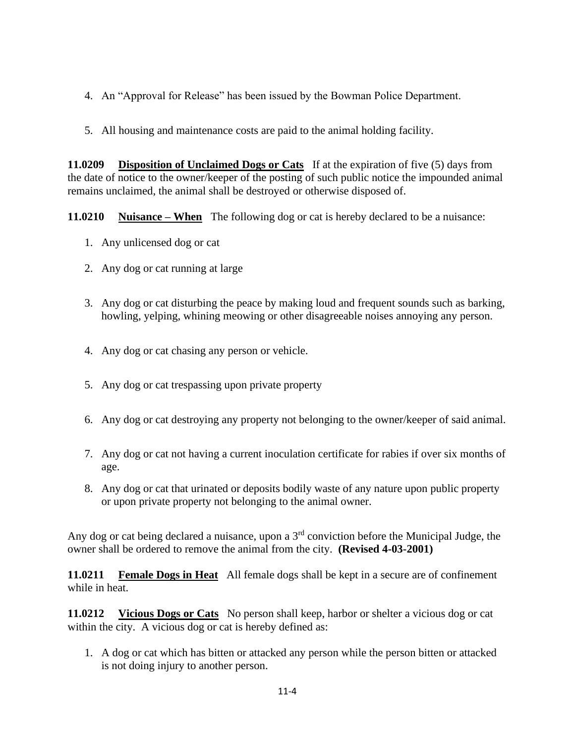- 4. An "Approval for Release" has been issued by the Bowman Police Department.
- 5. All housing and maintenance costs are paid to the animal holding facility.

**11.0209 Disposition of Unclaimed Dogs or Cats** If at the expiration of five (5) days from the date of notice to the owner/keeper of the posting of such public notice the impounded animal remains unclaimed, the animal shall be destroyed or otherwise disposed of.

**11.0210 Nuisance – When** The following dog or cat is hereby declared to be a nuisance:

- 1. Any unlicensed dog or cat
- 2. Any dog or cat running at large
- 3. Any dog or cat disturbing the peace by making loud and frequent sounds such as barking, howling, yelping, whining meowing or other disagreeable noises annoying any person.
- 4. Any dog or cat chasing any person or vehicle.
- 5. Any dog or cat trespassing upon private property
- 6. Any dog or cat destroying any property not belonging to the owner/keeper of said animal.
- 7. Any dog or cat not having a current inoculation certificate for rabies if over six months of age.
- 8. Any dog or cat that urinated or deposits bodily waste of any nature upon public property or upon private property not belonging to the animal owner.

Any dog or cat being declared a nuisance, upon a 3rd conviction before the Municipal Judge, the owner shall be ordered to remove the animal from the city. **(Revised 4-03-2001)**

**11.0211 Female Dogs in Heat** All female dogs shall be kept in a secure are of confinement while in heat.

**11.0212 Vicious Dogs or Cats** No person shall keep, harbor or shelter a vicious dog or cat within the city. A vicious dog or cat is hereby defined as:

1. A dog or cat which has bitten or attacked any person while the person bitten or attacked is not doing injury to another person.